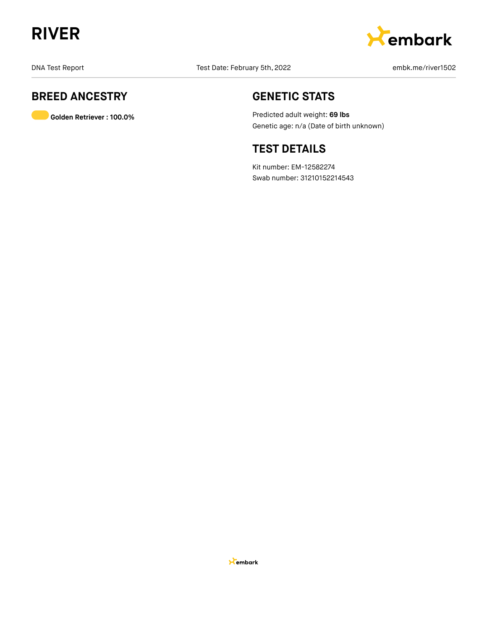



## **BREED ANCESTRY**

**Golden Retriever : 100.0%**

## **GENETIC STATS**

Predicted adult weight: **69 lbs** Genetic age: n/a (Date of birth unknown)

## **TEST DETAILS**

Kit number: EM-12582274 Swab number: 31210152214543

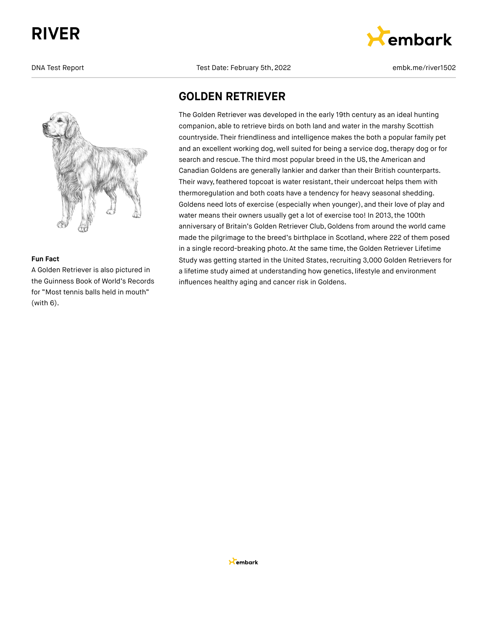

## **Fun Fact**

A Golden Retriever is also pictured in the Guinness Book of World's Records for "Most tennis balls held in mouth" (with 6).

DNA Test Report Test Date: February 5th, 2022 embk.me/river1502



## **GOLDEN RETRIEVER**

The Golden Retriever was developed in the early 19th century as an ideal hunting companion, able to retrieve birds on both land and water in the marshy Scottish countryside. Their friendliness and intelligence makes the both a popular family pet and an excellent working dog, well suited for being a service dog, therapy dog or for search and rescue. The third most popular breed in the US, the American and Canadian Goldens are generally lankier and darker than their British counterparts. Their wavy, feathered topcoat is water resistant, their undercoat helps them with thermoregulation and both coats have a tendency for heavy seasonal shedding. Goldens need lots of exercise (especially when younger), and their love of play and water means their owners usually get a lot of exercise too! In 2013, the 100th anniversary of Britain's Golden Retriever Club, Goldens from around the world came made the pilgrimage to the breed's birthplace in Scotland, where 222 of them posed in a single record-breaking photo. At the same time, the Golden Retriever Lifetime Study was getting started in the United States, recruiting 3,000 Golden Retrievers for a lifetime study aimed at understanding how genetics, lifestyle and environment influences healthy aging and cancer risk in Goldens.

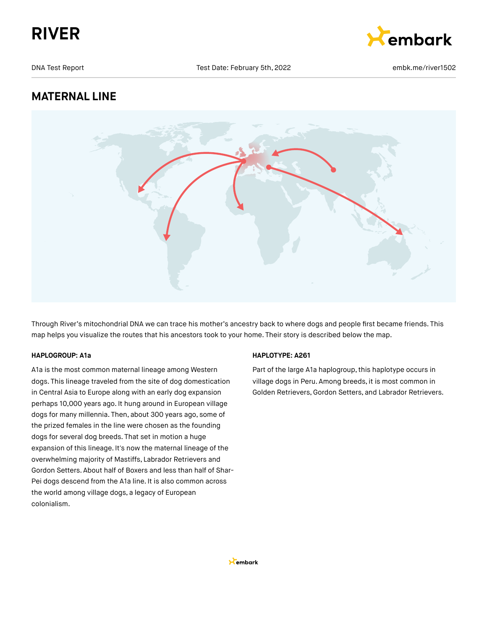



## **MATERNAL LINE**



Through River's mitochondrial DNA we can trace his mother's ancestry back to where dogs and people first became friends. This map helps you visualize the routes that his ancestors took to your home. Their story is described below the map.

## **HAPLOGROUP: A1a**

A1a is the most common maternal lineage among Western dogs. This lineage traveled from the site of dog domestication in Central Asia to Europe along with an early dog expansion perhaps 10,000 years ago. It hung around in European village dogs for many millennia. Then, about 300 years ago, some of the prized females in the line were chosen as the founding dogs for several dog breeds. That set in motion a huge expansion of this lineage. It's now the maternal lineage of the overwhelming majority of Mastiffs, Labrador Retrievers and Gordon Setters. About half of Boxers and less than half of Shar-Pei dogs descend from the A1a line. It is also common across the world among village dogs, a legacy of European colonialism.

## **HAPLOTYPE: A261**

Part of the large A1a haplogroup, this haplotype occurs in village dogs in Peru. Among breeds, it is most common in Golden Retrievers,Gordon Setters, and Labrador Retrievers.

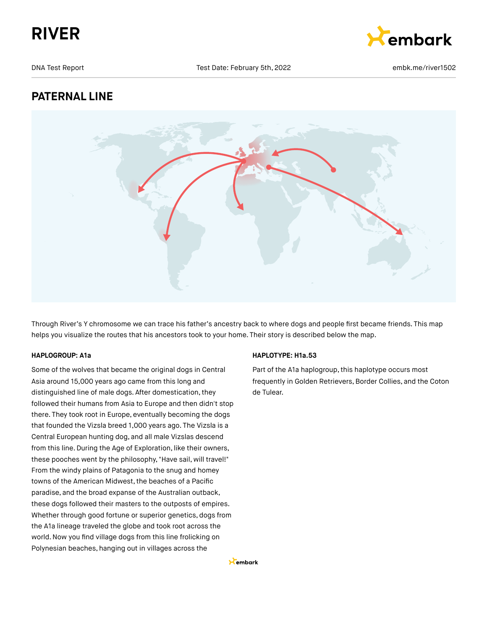



## **PATERNAL LINE**



Through River's Y chromosome we can trace his father's ancestry back to where dogs and people first became friends. This map helps you visualize the routes that his ancestors took to your home. Their story is described below the map.

## **HAPLOGROUP: A1a**

Some of the wolves that became the original dogs in Central Asia around 15,000 years ago came from this long and distinguished line of male dogs. After domestication, they followed their humans from Asia to Europe and then didn't stop there. They took root in Europe, eventually becoming the dogs that founded the Vizsla breed 1,000 years ago. The Vizsla is a Central European hunting dog, and all male Vizslas descend from this line. During the Age of Exploration, like their owners, these pooches went by the philosophy, "Have sail, will travel!" From the windy plains of Patagonia to the snug and homey towns of the American Midwest, the beaches of a Pacific paradise, and the broad expanse of the Australian outback, these dogs followed their masters to the outposts of empires. Whether through good fortune or superior genetics, dogs from the A1a lineage traveled the globe and took root across the world.Now you find village dogs from this line frolicking on Polynesian beaches, hanging out in villages across the

## **HAPLOTYPE: H1a.53**

Part of the A1a haplogroup, this haplotype occurs most frequently in Golden Retrievers, Border Collies, and the Coton de Tulear.

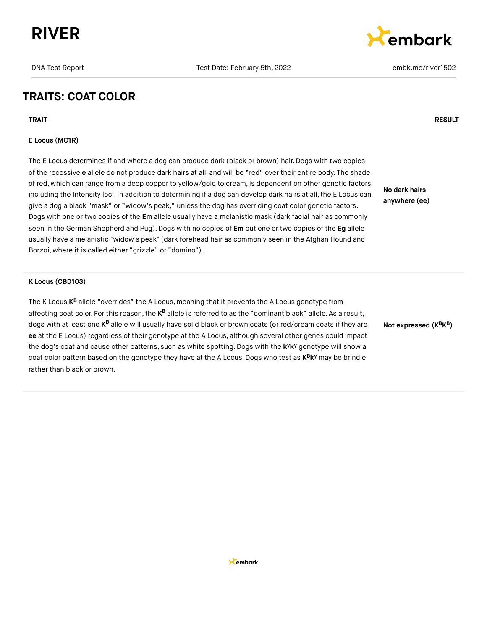



## **TRAITS: COAT COLOR**

## **E Locus (MC1R)**

The E Locus determines if and where a dog can produce dark (black or brown) hair. Dogs with two copies of the recessive **e** allele do not produce dark hairs at all, and will be "red" over their entire body. The shade of red, which can range from a deep copper to yellow/gold to cream, is dependent on other genetic factors including the Intensity loci. In addition to determining if a dog can develop dark hairs at all, the E Locus can give a dog a black "mask" or "widow's peak," unless the dog has overriding coat color genetic factors. Dogs with one or two copies of the **Em** allele usually have a melanistic mask (dark facial hair as commonly seen in the German Shepherd and Pug).Dogs with no copies of **Em** but one or two copies of the **Eg** allele usually have a melanistic "widow's peak" (dark forehead hair as commonly seen in the Afghan Hound and Borzoi, where it is called either "grizzle" or "domino").

**No dark hairs anywhere (ee)**

#### **K Locus (CBD103)**

The K Locus **K<sup>B</sup>** allele "overrides" the A Locus, meaning that it prevents the A Locus genotype from affecting coat color. For this reason, the **K<sup>B</sup> allele is referred to as the "dominant** black" allele. As a result, dogs with at least one **K<sup>B</sup> allele will usually have solid black** or brown coats (or red/cream coats if they are **ee** at the E Locus) regardless of their genotype at the A Locus, although several other genes could impact the dog's coat and cause other patterns, such as white spotting. Dogs with the k<sup>y</sup>k<sup>y</sup> genotype will show a coat color pattern based on the genotype they have at the A Locus. Dogs who test as  $K^B K^y$  may be brindle rather than black or brown.

**Not expressed (K K ) B B**

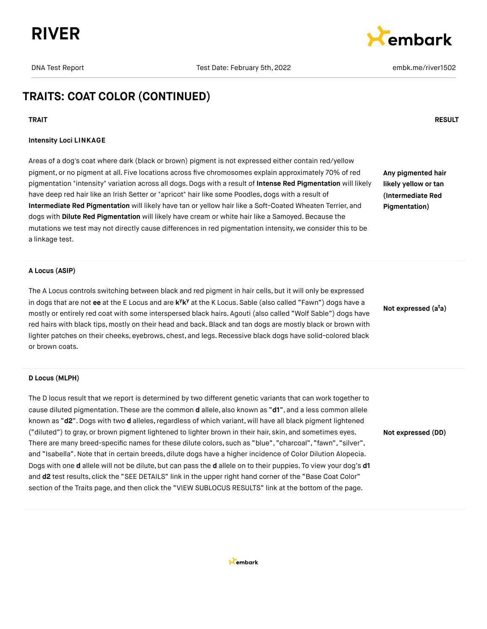



## **TRAITS: COAT COLOR (CONTINUED)**

#### **TRAIT RESULT**

#### **Intensity Loci LINKAGE**

Areas of a dog's coat where dark (black or brown) pigment is not expressed either contain red/yellow pigment, or no pigment at all. Five locations across five chromosomes explain approximately 70% of red pigmentation "intensity" variation across all dogs. Dogs with a result of **Intense Red Pigmentation** will likely have deep red hair like an Irish Setter or "apricot" hair like some Poodles, dogs with a result of **Intermediate Red Pigmentation** will likely have tan or yellow hair like a Soft-Coated Wheaten Terrier, and dogs with **Dilute Red Pigmentation** will likely have cream or white hair like a Samoyed. Because the mutations we test may not directly cause differences in red pigmentation intensity, we consider this to be a linkage test.

**Any pigmented hair likely yellow or tan (Intermediate Red Pigmentation)**

#### **A Locus (ASIP)**

The A Locus controls switching between black and red pigment in hair cells, but it will only be expressed in dogs that are not ee at the E Locus and are k<sup>y</sup>k<sup>y</sup> at the K Locus. Sable (also called "Fawn") dogs have a mostly or entirely red coat with some interspersed black hairs. Agouti (also called "Wolf Sable") dogs have red hairs with black tips, mostly on their head and back.Black and tan dogs are mostly black or brown with lighter patches on their cheeks, eyebrows, chest, and legs. Recessive black dogs have solid-colored black or brown coats.

### **Not expressed (a a) t**

#### **D Locus (MLPH)**

The D locus result that we report is determined by two different genetic variants that can work together to cause diluted pigmentation. These are the common **d** allele, also known as "**d1**", and a less common allele known as "d2". Dogs with two d alleles, regardless of which variant, will have all black pigment lightened ("diluted") to gray, or brown pigment lightened to lighter brown in their hair, skin, and sometimes eyes. There are many breed-specific names for these dilute colors, such as "blue", "charcoal", "fawn", "silver", and "Isabella".Note that in certain breeds, dilute dogs have a higher incidence of Color Dilution Alopecia. Dogs with one **d** allele will not be dilute, but can pass the **d** allele on to their puppies. To view your dog's **d1** and **d2** test results, click the "SEE DETAILS" link in the upper right hand corner of the "Base Coat Color" section of the Traits page, and then click the "VIEW SUBLOCUS RESULTS" link at the bottom of the page.



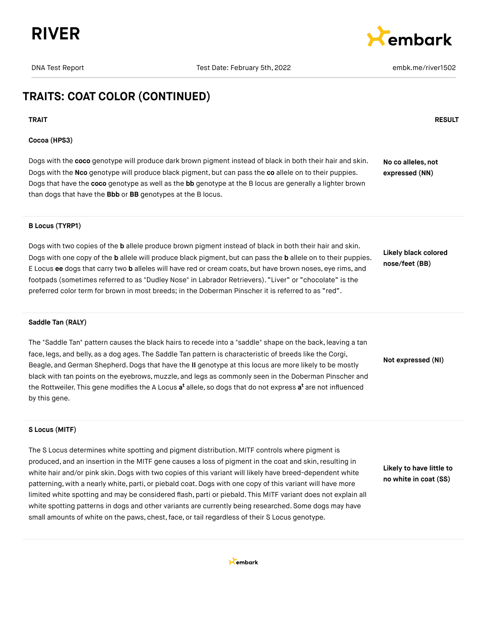



## **TRAITS: COAT COLOR (CONTINUED)**

## **TRAIT RESULT**

## **Cocoa (HPS3)**

Dogs with the **coco** genotype will produce dark brown pigment instead of black in both their hair and skin. Dogs with the **Nco** genotype will produce black pigment, but can pass the **co** allele on to their puppies. Dogs that have the **coco** genotype as well as the **bb** genotype at the B locus are generally a lighter brown than dogs that have the **Bbb** or **BB** genotypes at the B locus. **No co alleles, not expressed (NN)**

## **B Locus (TYRP1)**

Dogs with two copies of the **b** allele produce brown pigment instead of black in both their hair and skin. Dogs with one copy of the **b** allele will produce black pigment, but can pass the **b** allele on to their puppies. E Locus **ee** dogs that carry two **b** alleles will have red or cream coats, but have brown noses, eye rims, and footpads (sometimes referred to as "Dudley Nose" in Labrador Retrievers). "Liver" or "chocolate" is the preferred color term for brown in most breeds; in the Doberman Pinscher it is referred to as "red".

**Likely black colored nose/feet (BB)**

## **Saddle Tan (RALY)**

The "Saddle Tan" pattern causes the black hairs to recede into a "saddle" shape on the back, leaving a tan face, legs, and belly, as a dog ages. The Saddle Tan pattern is characteristic of breeds like the Corgi, Beagle, and German Shepherd.Dogs that have the **II** genotype at this locus are more likely to be mostly black with tan points on the eyebrows, muzzle, and legs as commonly seen in the Doberman Pinscher and the Rottweiler. This gene modifies the A Locus **a<sup>t</sup>** allele, so dogs that do not express **a<sup>t</sup>** are not influenced by this gene.

**Not expressed (NI)**

## **S Locus (MITF)**

The S Locus determines white spotting and pigment distribution. MITF controls where pigment is produced, and an insertion in the MITF gene causes a loss of pigment in the coat and skin, resulting in white hair and/or pink skin. Dogs with two copies of this variant will likely have breed-dependent white patterning, with a nearly white, parti, or piebald coat. Dogs with one copy of this variant will have more limited white spotting and may be considered flash, parti or piebald. This MITF variant does not explain all white spotting patterns in dogs and other variants are currently being researched. Some dogs may have small amounts of white on the paws, chest, face, or tail regardless of their S Locus genotype.

**Likely to have little to no white in coat (SS)**

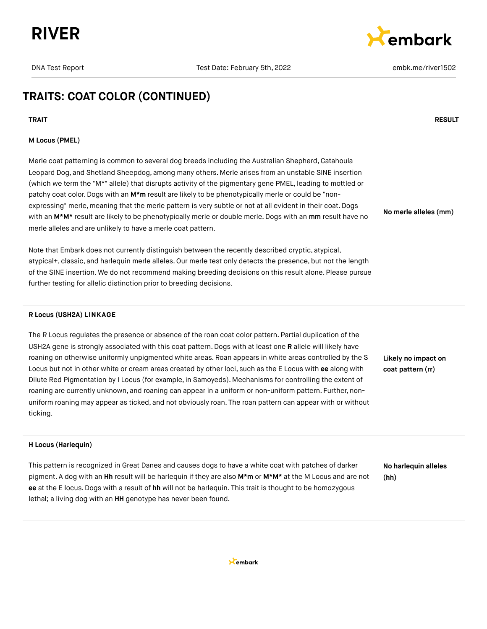



**No merle alleles (mm)**

## **TRAITS: COAT COLOR (CONTINUED)**

## **TRAIT RESULT**

## **M Locus (PMEL)**

Merle coat patterning is common to several dog breeds including the Australian Shepherd, Catahoula Leopard Dog, and Shetland Sheepdog, among many others. Merle arises from an unstable SINE insertion (which we term the "M\*" allele) that disrupts activity of the pigmentary gene PMEL, leading to mottled or patchy coat color. Dogs with an M<sup>\*</sup>m result are likely to be phenotypically merle or could be "nonexpressing" merle, meaning that the merle pattern is very subtle or not at all evident in their coat. Dogs with an **M\*M\*** result are likely to be phenotypically merle or double merle. Dogs with an **mm** result have no merle alleles and are unlikely to have a merle coat pattern.

Note that Embark does not currently distinguish between the recently described cryptic, atypical, atypical+, classic, and harlequin merle alleles. Our merle test only detects the presence, but not the length of the SINE insertion. We do not recommend making breeding decisions on this result alone. Please pursue further testing for allelic distinction prior to breeding decisions.

## **R Locus (USH2A) LINKAGE**

The R Locus regulates the presence or absence of the roan coat color pattern. Partial duplication of the USH2A gene is strongly associated with this coat pattern. Dogs with at least one **R** allele will likely have roaning on otherwise uniformly unpigmented white areas. Roan appears in white areas controlled by the S Locus but not in other white or cream areas created by other loci, such as the E Locus with **ee** along with Dilute Red Pigmentation by I Locus (for example, in Samoyeds). Mechanisms for controlling the extent of roaning are currently unknown, and roaning can appear in a uniform or non-uniform pattern. Further, nonuniform roaning may appear as ticked, and not obviously roan. The roan pattern can appear with or without ticking.

**Likely no impact on coat pattern (rr)**

## **H Locus (Harlequin)**

This pattern is recognized in Great Danes and causes dogs to have a white coat with patches of darker pigment. A dog with an **Hh** result will be harlequin if they are also **M\*m** or **M\*M\*** at the M Locus and are not **ee** at the E locus.Dogs with a result of **hh** will not be harlequin. This trait is thought to be homozygous lethal; a living dog with an **HH** genotype has never been found.

**No harlequin alleles (hh)**

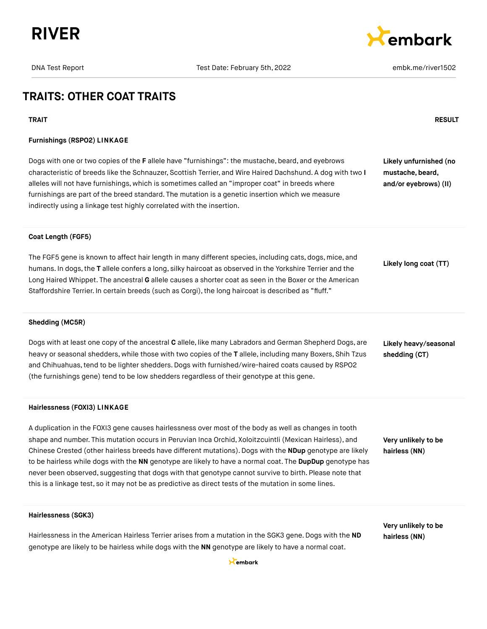



## **TRAITS: OTHER COAT TRAITS**

#### **TRAIT RESULT**

## **Furnishings (RSPO2) LINKAGE**

Dogs with one or two copies of the **F** allele have "furnishings": the mustache, beard, and eyebrows characteristic of breeds like the Schnauzer, Scottish Terrier, and Wire Haired Dachshund. A dog with two **I** alleles will not have furnishings, which is sometimes called an "improper coat" in breeds where furnishings are part of the breed standard. The mutation is a genetic insertion which we measure indirectly using a linkage test highly correlated with the insertion.

**Likely unfurnished (no mustache, beard, and/or eyebrows) (II)**

#### **Coat Length (FGF5)**

The FGF5 gene is known to affect hair length in many different species, including cats, dogs, mice, and humans. In dogs,the **T** allele confers a long, silky haircoat as observed in the Yorkshire Terrier and the Long Haired Whippet. The ancestral **G** allele causes a shorter coat as seen in the Boxer or the American Staffordshire Terrier. In certain breeds (such as Corgi), the long haircoat is described as "fluff."

**Likely long coat (TT)**

#### **Shedding (MC5R)**

Dogs with at least one copy of the ancestral **C** allele, like many Labradors and German Shepherd Dogs, are heavy or seasonal shedders, while those with two copies of the **T** allele, including many Boxers, Shih Tzus and Chihuahuas,tend to be lighter shedders.Dogs with furnished/wire-haired coats caused by RSPO2 (the furnishings gene) tend to be low shedders regardless of their genotype at this gene.

#### **Hairlessness (FOXI3) LINKAGE**

A duplication in the FOXI3 gene causes hairlessness over most of the body as well as changes in tooth shape and number. This mutation occurs in Peruvian Inca Orchid, Xoloitzcuintli (Mexican Hairless), and Chinese Crested (other hairless breeds have different mutations). Dogs with the **NDup** genotype are likely to be hairless while dogs with the **NN** genotype are likely to have a normal coat. The **DupDup** genotype has never been observed, suggesting that dogs with that genotype cannot survive to birth. Please note that this is a linkage test, so it may not be as predictive as direct tests of the mutation in some lines.

**Likely heavy/seasonal shedding (CT)**

**Very unlikely to be hairless (NN)**

#### **Hairlessness (SGK3)**

Hairlessness in the American Hairless Terrier arises from a mutation in the SGK3 gene. Dogs with the **ND** genotype are likely to be hairless while dogs with the **NN** genotype are likely to have a normal coat.

**Very unlikely to be hairless (NN)**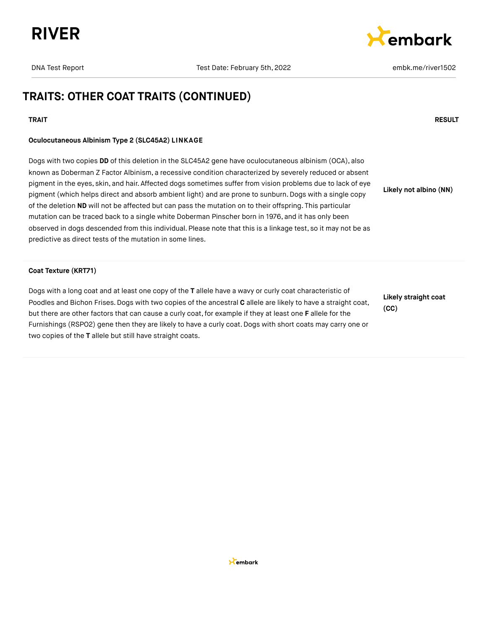



## **TRAITS: OTHER COAT TRAITS (CONTINUED)**

## **TRAIT RESULT**

## **Oculocutaneous Albinism Type 2 (SLC45A2) LINKAGE**

Dogs with two copies **DD** of this deletion in the SLC45A2 gene have oculocutaneous albinism (OCA), also known as Doberman Z Factor Albinism, a recessive condition characterized by severely reduced or absent pigment in the eyes, skin, and hair. Affected dogs sometimes suffer from vision problems due to lack of eye pigment (which helps direct and absorb ambient light) and are prone to sunburn. Dogs with a single copy of the deletion **ND** will not be affected but can pass the mutation on to their offspring. This particular mutation can be traced back to a single white Doberman Pinscher born in 1976, and it has only been observed in dogs descended from this individual. Please note that this is a linkage test, so it may not be as predictive as direct tests of the mutation in some lines. **Likely not albino (NN)**

## **Coat Texture (KRT71)**

Dogs with a long coat and at least one copy of the **T** allele have a wavy or curly coat characteristic of Poodles and Bichon Frises. Dogs with two copies of the ancestral **C** allele are likely to have a straight coat, but there are other factors that can cause a curly coat,for example if they at least one **F** allele for the Furnishings (RSPO2) gene then they are likely to have a curly coat. Dogs with short coats may carry one or two copies of the **T** allele but still have straight coats.

**Likely straight coat (CC)**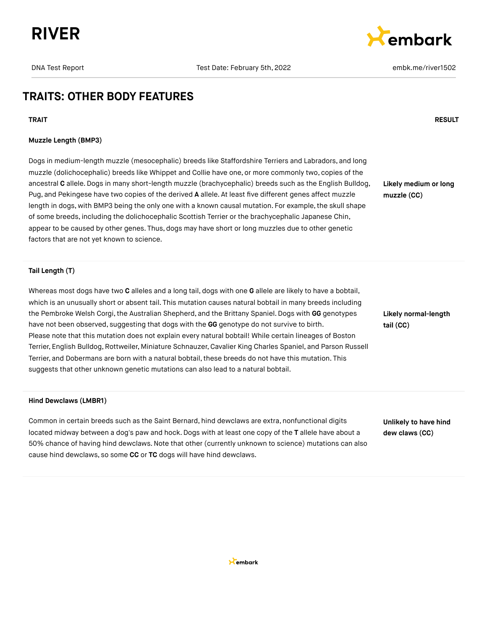



## **TRAITS: OTHER BODY FEATURES**

## **Muzzle Length (BMP3)**

Dogs in medium-length muzzle (mesocephalic) breeds like Staffordshire Terriers and Labradors, and long muzzle (dolichocephalic) breeds like Whippet and Collie have one, or more commonly two, copies of the ancestral **C** allele.Dogs in many short-length muzzle (brachycephalic) breeds such as the English Bulldog, Pug, and Pekingese have two copies of the derived **A** allele. At least five different genes affect muzzle length in dogs, with BMP3 being the only one with a known causal mutation. For example, the skull shape of some breeds, including the dolichocephalic Scottish Terrier or the brachycephalic Japanese Chin, appear to be caused by other genes. Thus, dogs may have short or long muzzles due to other genetic factors that are not yet known to science.

**Likely medium or long muzzle (CC)**

## **Tail Length (T)**

Whereas most dogs have two **C** alleles and a long tail, dogs with one **G** allele are likely to have a bobtail, which is an unusually short or absent tail. This mutation causes natural bobtail in many breeds including the Pembroke Welsh Corgi, the Australian Shepherd, and the Brittany Spaniel. Dogs with GG genotypes have not been observed, suggesting that dogs with the **GG** genotype do not survive to birth. Please note that this mutation does not explain every natural bobtail! While certain lineages of Boston Terrier, English Bulldog,Rottweiler, Miniature Schnauzer, Cavalier King Charles Spaniel, and Parson Russell Terrier, and Dobermans are born with a natural bobtail, these breeds do not have this mutation. This suggests that other unknown genetic mutations can also lead to a natural bobtail.

#### **Hind Dewclaws (LMBR1)**

Common in certain breeds such as the Saint Bernard, hind dewclaws are extra, nonfunctional digits located midway between a dog's paw and hock. Dogs with at least one copy of the **T** allele have about a 50% chance of having hind dewclaws.Note that other (currently unknown to science) mutations can also cause hind dewclaws, so some **CC** or **TC** dogs will have hind dewclaws.

**Likely normal-length tail (CC)**

**Unlikely to have hind dew claws (CC)**



#### **TRAIT RESULT**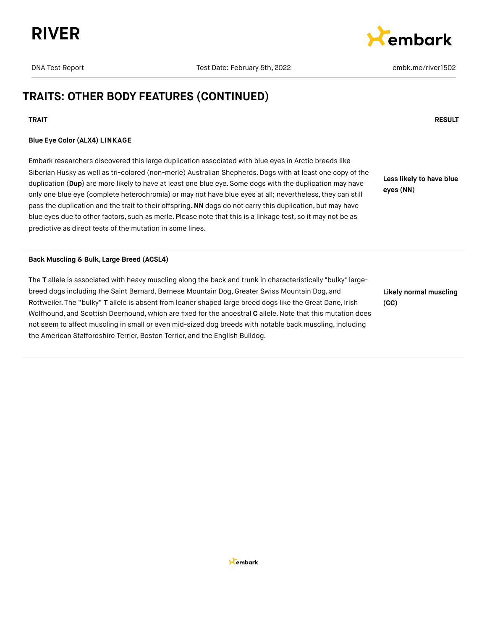



## **TRAITS: OTHER BODY FEATURES (CONTINUED)**

## **TRAIT RESULT**

## **Blue Eye Color (ALX4) LINKAGE**

Embark researchers discovered this large duplication associated with blue eyes in Arctic breeds like Siberian Husky as well as tri-colored (non-merle) Australian Shepherds. Dogs with at least one copy of the duplication (**Dup**) are more likely to have at least one blue eye. Some dogs with the duplication may have only one blue eye (complete heterochromia) or may not have blue eyes at all; nevertheless,they can still pass the duplication and the trait to their offspring.**NN** dogs do not carry this duplication, but may have blue eyes due to other factors, such as merle. Please note that this is a linkage test, so it may not be as predictive as direct tests of the mutation in some lines.

**Less likely to have blue eyes (NN)**

#### **Back Muscling & Bulk, Large Breed (ACSL4)**

The **T** allele is associated with heavy muscling along the back and trunk in characteristically "bulky" largebreed dogs including the Saint Bernard, Bernese Mountain Dog, Greater Swiss Mountain Dog, and Rottweiler. The "bulky" **T** allele is absent from leaner shaped large breed dogs like the Great Dane, Irish Wolfhound, and Scottish Deerhound, which are fixed for the ancestral **C** allele.Note that this mutation does not seem to affect muscling in small or even mid-sized dog breeds with notable back muscling, including the American Staffordshire Terrier, Boston Terrier, and the English Bulldog.

**Likely normal muscling (CC)**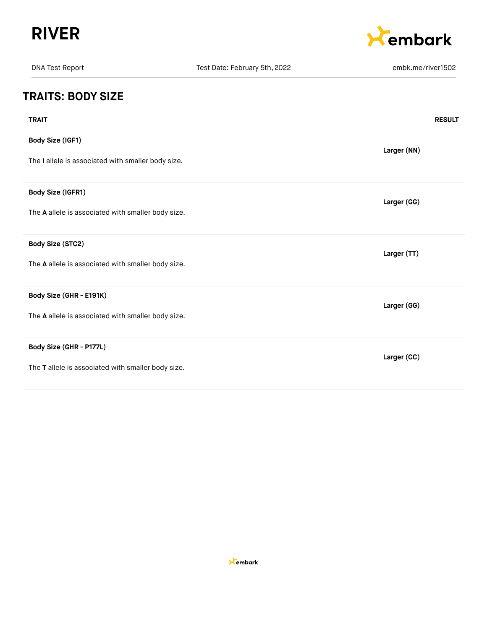



| <b>DNA Test Report</b>                             | Test Date: February 5th, 2022 | embk.me/river1502 |
|----------------------------------------------------|-------------------------------|-------------------|
| <b>TRAITS: BODY SIZE</b>                           |                               |                   |
| <b>TRAIT</b>                                       |                               | <b>RESULT</b>     |
| Body Size (IGF1)                                   |                               | Larger (NN)       |
| The I allele is associated with smaller body size. |                               |                   |
| Body Size (IGFR1)                                  |                               | Larger (GG)       |
| The A allele is associated with smaller body size. |                               |                   |
| Body Size (STC2)                                   |                               | Larger (TT)       |
| The A allele is associated with smaller body size. |                               |                   |
| Body Size (GHR - E191K)                            |                               | Larger (GG)       |
| The A allele is associated with smaller body size. |                               |                   |
| Body Size (GHR - P177L)                            |                               | Larger (CC)       |
| The T allele is associated with smaller body size. |                               |                   |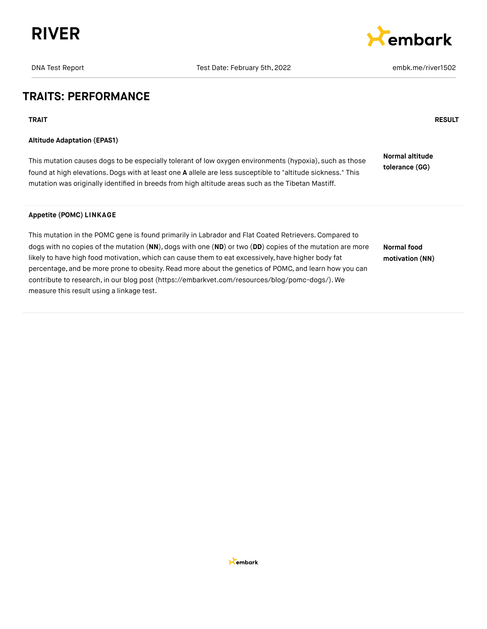



## **TRAITS: PERFORMANCE**

**TRAIT RESULT**

## **Altitude Adaptation (EPAS1)**

This mutation causes dogs to be especially tolerant of low oxygen environments (hypoxia), such as those found at high elevations.Dogs with at least one **A** allele are less susceptible to "altitude sickness." This mutation was originally identified in breeds from high altitude areas such as the Tibetan Mastiff. **Normal altitude tolerance (GG)**

## **Appetite (POMC) LINKAGE**

This mutation in the POMC gene is found primarily in Labrador and Flat Coated Retrievers.Compared to dogs with no copies of the mutation (**NN**), dogs with one (**ND**) or two (**DD**) copies of the mutation are more likely to have high food motivation, which can cause them to eat excessively, have higher body fat percentage, and be more prone to obesity. Read more about the genetics of POMC, and learn how you can contribute to research, in our blog post [\(https://embarkvet.com/resources/blog/pomc-dogs/\).](https://embarkvet.com/resources/blog/pomc-dogs/) We measure this result using a linkage test. **Normal food motivation (NN)**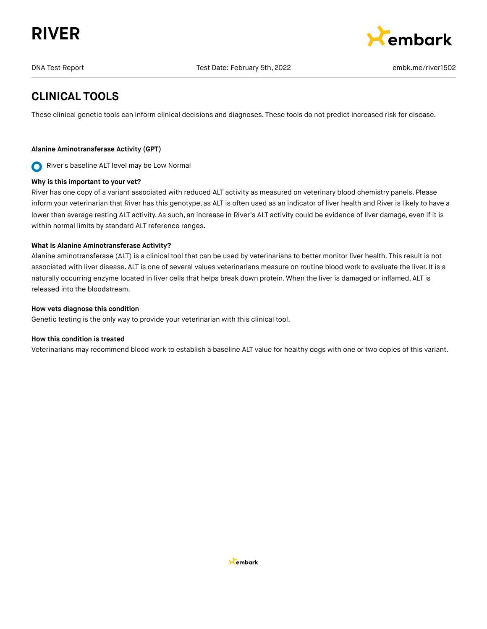# **RIVER**



DNA Test Report Test Date: February 5th, 2022 embk.me/river1502

## **CLINICAL TOOLS**

These clinical genetic tools can inform clinical decisions and diagnoses. These tools do not predict increased risk for disease.

## **Alanine Aminotransferase Activity (GPT)**

River's baseline ALT level may be Low Normal  $\mathbf O$ 

## **Why is this important to your vet?**

River has one copy of a variant associated with reduced ALT activity as measured on veterinary blood chemistry panels. Please inform your veterinarian that River has this genotype, as ALT is often used as an indicator of liver health and River is likely to have a lower than average resting ALT activity. As such, an increase in River's ALT activity could be evidence of liver damage, even if it is within normal limits by standard ALT reference ranges.

## **What is Alanine Aminotransferase Activity?**

Alanine aminotransferase (ALT) is a clinical tool that can be used by veterinarians to better monitor liver health. This result is not associated with liver disease. ALT is one of several values veterinarians measure on routine blood work to evaluate the liver. It is a naturally occurring enzyme located in liver cells that helps break down protein. When the liver is damaged or inflamed, ALT is released into the bloodstream.

## **How vets diagnose this condition**

Genetic testing is the only way to provide your veterinarian with this clinical tool.

## **How this condition is treated**

Veterinarians may recommend blood work to establish a baseline ALT value for healthy dogs with one or two copies of this variant.

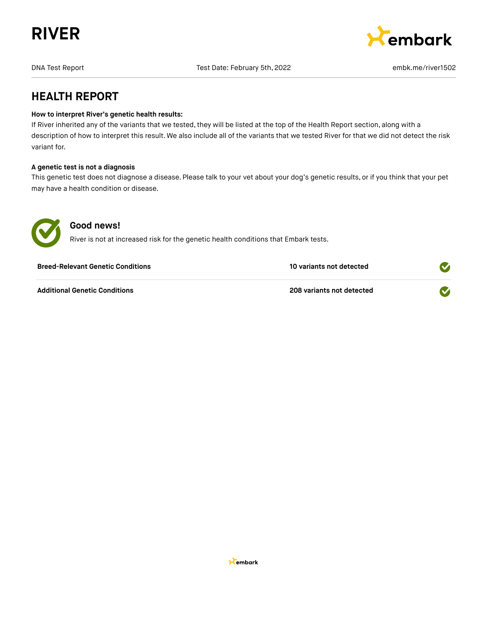



## **HEALTH REPORT**

## **How to interpret River's genetic health results:**

If River inherited any of the variants that we tested, they will be listed at the top of the Health Report section, along with a description of how to interpret this result. We also include all of the variants that we tested River for that we did not detect the risk variant for.

## **A genetic test is not a diagnosis**

This genetic test does not diagnose a disease. Please talk to your vet about your dog's genetic results, or if you think that your pet may have a health condition or disease.



## **Good news!**

River is not at increased risk for the genetic health conditions that Embark tests.

| <b>Breed-Relevant Genetic Conditions</b> | 10 variants not detected  |  |
|------------------------------------------|---------------------------|--|
| <b>Additional Genetic Conditions</b>     | 208 variants not detected |  |

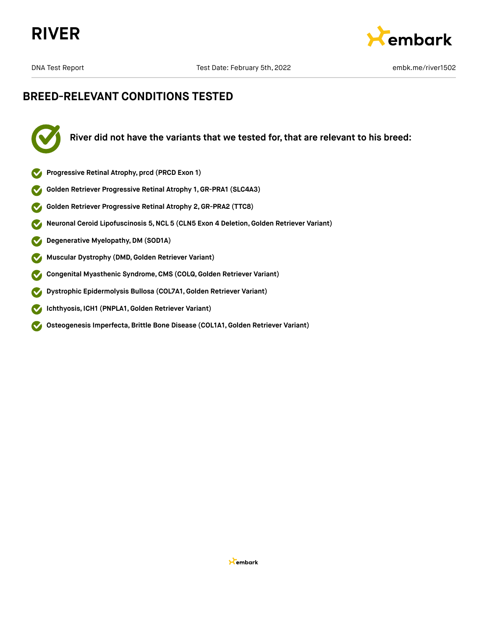



## **BREED-RELEVANT CONDITIONS TESTED**



**River did not have the variants that we tested for, that are relevant to his breed:**

- **Progressive Retinal Atrophy, prcd (PRCD Exon 1)**
- **Golden Retriever Progressive Retinal Atrophy 1, GR-PRA1 (SLC4A3)**
- **Golden Retriever Progressive Retinal Atrophy 2,GR-PRA2 (TTC8)**  $\blacktriangledown$
- **Neuronal Ceroid Lipofuscinosis 5,NCL 5 (CLN5 Exon 4 Deletion,Golden Retriever Variant)**  $\blacktriangledown$
- **Degenerative Myelopathy,DM (SOD1A)**  $\blacktriangledown$
- **Muscular Dystrophy (DMD,Golden Retriever Variant)**  $\blacktriangledown$
- **Congenital Myasthenic Syndrome,CMS (COLQ, Golden Retriever Variant)**  $\blacktriangledown$
- **Dystrophic Epidermolysis Bullosa (COL7A1,Golden Retriever Variant)**  $\boldsymbol{\mathcal{S}}$
- $\bullet$ **Ichthyosis, ICH1 (PNPLA1,Golden Retriever Variant)**
- **Osteogenesis Imperfecta,Brittle Bone Disease (COL1A1,Golden Retriever Variant)**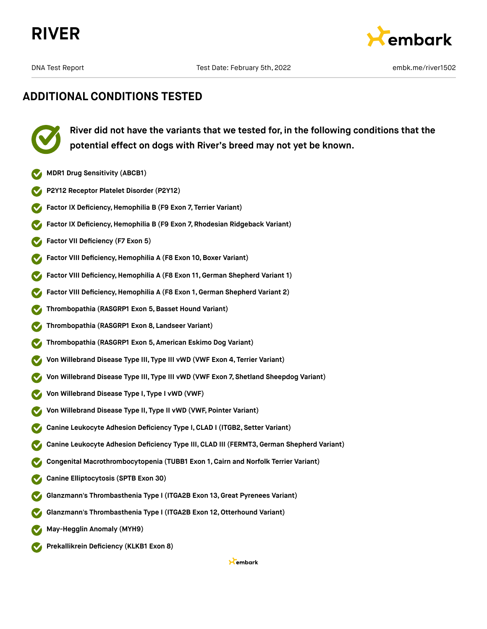





**River did not have the variants that we tested for, in the following conditions that the potential effect on dogs with River's breed may not yet be known.**

- **MDR1 Drug Sensitivity (ABCB1)**
- **P2Y12 Receptor Platelet Disorder (P2Y12)**
- **Factor IX Deficiency, Hemophilia B (F9 Exon 7, Terrier Variant)**
- **Factor IX Deficiency,Hemophilia B (F9 Exon 7, Rhodesian Ridgeback Variant)**
- **Factor VII Deficiency (F7 Exon 5)**  $\bullet$
- **Factor VIII Deficiency, Hemophilia A (F8 Exon 10, Boxer Variant)**
- **Factor VIII Deficiency,Hemophilia A (F8 Exon 11,German Shepherd Variant 1)**
- **Factor VIII Deficiency,Hemophilia A (F8 Exon 1, German Shepherd Variant 2)**
- **Thrombopathia (RASGRP1 Exon 5,Basset Hound Variant)**
- **Thrombopathia (RASGRP1 Exon 8, Landseer Variant)**
- **Thrombopathia (RASGRP1 Exon 5, American Eskimo Dog Variant)**
- **Von Willebrand Disease Type III, Type III vWD (VWF Exon 4, Terrier Variant)**
- **Von Willebrand Disease Type III, Type III vWD (VWF Exon 7, Shetland Sheepdog Variant)**
- **Von Willebrand Disease Type I, Type I vWD (VWF)**
- **Von Willebrand Disease Type II, Type II vWD (VWF, Pointer Variant)**
- **Canine Leukocyte Adhesion Deficiency Type I,CLAD I (ITGB2, Setter Variant)**
- **Canine Leukocyte Adhesion Deficiency Type III, CLAD III (FERMT3,German Shepherd Variant)**
- **Congenital Macrothrombocytopenia (TUBB1 Exon 1, Cairn and Norfolk Terrier Variant)**
- **Canine Elliptocytosis (SPTB Exon 30)**
- **Glanzmann's Thrombasthenia Type I (ITGA2B Exon 13,Great Pyrenees Variant)**
- **Glanzmann's Thrombasthenia Type I (ITGA2B Exon 12,Otterhound Variant)**
- **May-Hegglin Anomaly (MYH9)**
- **Prekallikrein Deficiency (KLKB1 Exon 8)**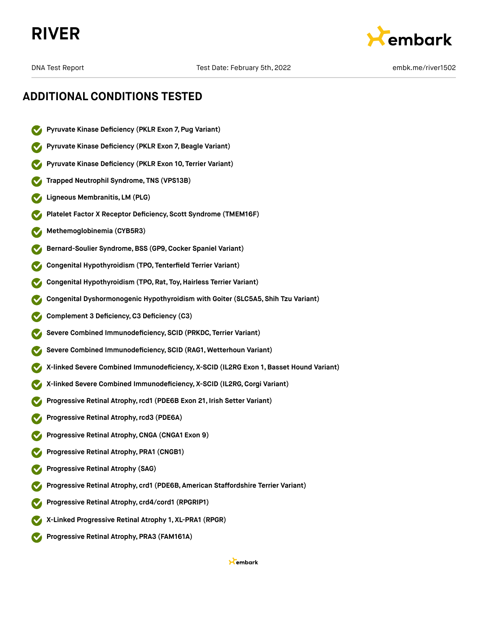# **RIVER**



## **ADDITIONAL CONDITIONS TESTED**

- **Pyruvate Kinase Deficiency (PKLR Exon 7, Pug Variant)**
- **Pyruvate Kinase Deficiency (PKLR Exon 7,Beagle Variant)**
- **Pyruvate Kinase Deficiency (PKLR Exon 10, Terrier Variant)**
- **Trapped Neutrophil Syndrome, TNS (VPS13B)**
- **Ligneous Membranitis, LM (PLG)**
- **Platelet Factor X Receptor Deficiency, Scott Syndrome (TMEM16F)**
- **Methemoglobinemia (CYB5R3)**
- **Bernard-Soulier Syndrome,BSS (GP9,Cocker Spaniel Variant)**
- **Congenital Hypothyroidism (TPO, Tenterfield Terrier Variant)**
- **Congenital Hypothyroidism (TPO, Rat, Toy,Hairless Terrier Variant)**
- **Congenital Dyshormonogenic Hypothyroidism with Goiter (SLC5A5, Shih Tzu Variant)**
- **Complement 3 Deficiency,C3 Deficiency (C3)**
- **Severe Combined Immunodeficiency, SCID (PRKDC, Terrier Variant)**
- **Severe Combined Immunodeficiency, SCID (RAG1, Wetterhoun Variant)**
- **X-linked Severe Combined Immunodeficiency, X-SCID (IL2RG Exon 1, Basset Hound Variant)**
- **X-linked Severe Combined Immunodeficiency, X-SCID (IL2RG,Corgi Variant)**
- **Progressive Retinal Atrophy,rcd1 (PDE6B Exon 21, Irish Setter Variant)**
- **Progressive Retinal Atrophy,rcd3 (PDE6A)**
- **Progressive Retinal Atrophy,CNGA (CNGA1 Exon 9)**
- **Progressive Retinal Atrophy, PRA1 (CNGB1)**
- **Progressive Retinal Atrophy (SAG)**
- **Progressive Retinal Atrophy, crd1 (PDE6B, American Staffordshire Terrier Variant)**
- **Progressive Retinal Atrophy, crd4/cord1 (RPGRIP1)**
- **X-Linked Progressive Retinal Atrophy 1, XL-PRA1 (RPGR)**
- **Progressive Retinal Atrophy, PRA3 (FAM161A)**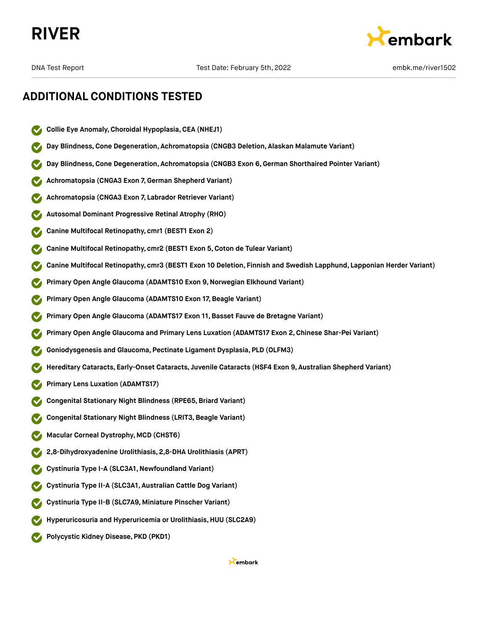



## **ADDITIONAL CONDITIONS TESTED**

- **Collie Eye Anomaly,Choroidal Hypoplasia,CEA (NHEJ1)**
- **Day Blindness,Cone Degeneration, Achromatopsia (CNGB3 Deletion, Alaskan Malamute Variant)**
- **Day Blindness,Cone Degeneration, Achromatopsia (CNGB3 Exon 6,German Shorthaired Pointer Variant)**
- **Achromatopsia (CNGA3 Exon 7,German Shepherd Variant)**
- **Achromatopsia (CNGA3 Exon 7, Labrador Retriever Variant)**
- **Autosomal Dominant Progressive Retinal Atrophy (RHO)**
- **Canine Multifocal Retinopathy, cmr1 (BEST1 Exon 2)**
- **Canine Multifocal Retinopathy, cmr2 (BEST1 Exon 5,Coton de Tulear Variant)**
- **Canine Multifocal Retinopathy, cmr3 (BEST1 Exon 10 Deletion, Finnish and Swedish Lapphund, Lapponian Herder Variant)**
- **Primary Open Angle Glaucoma (ADAMTS10 Exon 9,Norwegian Elkhound Variant)**
- **Primary Open Angle Glaucoma (ADAMTS10 Exon 17, Beagle Variant)**
- **Primary Open Angle Glaucoma (ADAMTS17 Exon 11,Basset Fauve de Bretagne Variant)**
- **Primary Open Angle Glaucoma and Primary Lens Luxation (ADAMTS17 Exon 2,Chinese Shar-Pei Variant)**
- **Goniodysgenesis and Glaucoma, Pectinate Ligament Dysplasia, PLD (OLFM3)**
- **Hereditary Cataracts, Early-Onset Cataracts, Juvenile Cataracts (HSF4 Exon 9, Australian Shepherd Variant)**
- **Primary Lens Luxation (ADAMTS17)**
- **Congenital Stationary Night Blindness (RPE65,Briard Variant)**
- **Congenital Stationary Night Blindness (LRIT3,Beagle Variant)**
- **Macular Corneal Dystrophy, MCD (CHST6)**
- **2,8-Dihydroxyadenine Urolithiasis, 2,8-DHA Urolithiasis (APRT)**
- **Cystinuria Type I-A (SLC3A1,Newfoundland Variant)**
- **Cystinuria Type II-A (SLC3A1, Australian Cattle Dog Variant)**
- **Cystinuria Type II-B (SLC7A9, Miniature Pinscher Variant)**
- **Hyperuricosuria and Hyperuricemia or Urolithiasis, HUU (SLC2A9)**
- **Polycystic Kidney Disease, PKD (PKD1)**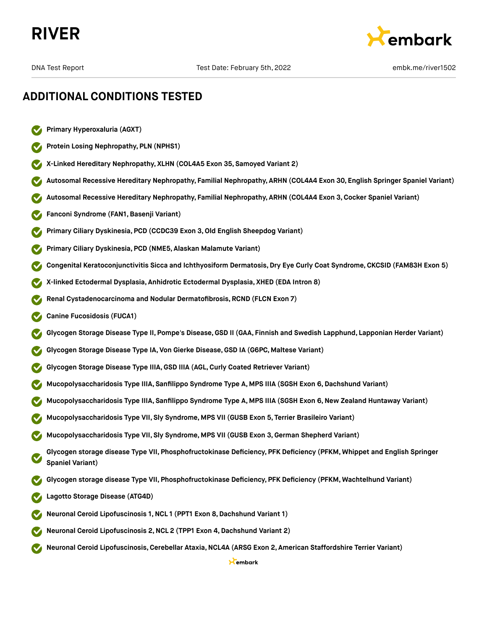



- **Primary Hyperoxaluria (AGXT)**
- **Protein Losing Nephropathy, PLN (NPHS1)**
- **X-Linked Hereditary Nephropathy, XLHN (COL4A5 Exon 35, Samoyed Variant 2)**
- **Autosomal Recessive Hereditary Nephropathy, Familial Nephropathy, ARHN (COL4A4 Exon 30, English Springer Spaniel Variant)**
- **Autosomal Recessive Hereditary Nephropathy, Familial Nephropathy, ARHN (COL4A4 Exon 3,Cocker Spaniel Variant)**
- **Fanconi Syndrome (FAN1,Basenji Variant)**
- **Primary Ciliary Dyskinesia, PCD (CCDC39 Exon 3,Old English Sheepdog Variant)**
- **Primary Ciliary Dyskinesia, PCD (NME5, Alaskan Malamute Variant)**
- **Congenital Keratoconjunctivitis Sicca and Ichthyosiform Dermatosis, Dry Eye Curly Coat Syndrome, CKCSID (FAM83H Exon 5)**
- **X-linked Ectodermal Dysplasia, Anhidrotic Ectodermal Dysplasia, XHED (EDA Intron 8)**
- **Renal Cystadenocarcinoma and Nodular Dermatofibrosis, RCND (FLCN Exon 7)**
- **Canine Fucosidosis (FUCA1)**
- **Glycogen Storage Disease Type II, Pompe's Disease,GSD II (GAA, Finnish and Swedish Lapphund, Lapponian Herder Variant)**
- **Glycogen Storage Disease Type IA, Von Gierke Disease,GSD IA (G6PC, Maltese Variant)**
- **Glycogen Storage Disease Type IIIA,GSD IIIA (AGL,Curly Coated Retriever Variant)**
- **Mucopolysaccharidosis Type IIIA, Sanfilippo Syndrome Type A, MPS IIIA (SGSH Exon 6,Dachshund Variant)**
- **Mucopolysaccharidosis Type IIIA, Sanfilippo Syndrome Type A, MPS IIIA (SGSH Exon 6,New Zealand Huntaway Variant)**
- **Mucopolysaccharidosis Type VII, Sly Syndrome, MPS VII (GUSB Exon 5, Terrier Brasileiro Variant)**
- **Mucopolysaccharidosis Type VII, Sly Syndrome, MPS VII (GUSB Exon 3,German Shepherd Variant)**
- **Glycogen storage disease Type VII, Phosphofructokinase Deficiency, PFK Deficiency (PFKM, Whippet and English Springer Spaniel Variant)**
- **Glycogen storage disease Type VII, Phosphofructokinase Deficiency, PFK Deficiency (PFKM, Wachtelhund Variant)**
- **Lagotto Storage Disease (ATG4D)**
- **Neuronal Ceroid Lipofuscinosis 1,NCL 1 (PPT1 Exon 8,Dachshund Variant 1)**
- **Neuronal Ceroid Lipofuscinosis 2,NCL 2 (TPP1 Exon 4,Dachshund Variant 2)**
- **Neuronal Ceroid Lipofuscinosis,Cerebellar Ataxia,NCL4A (ARSG Exon 2, American Staffordshire Terrier Variant)**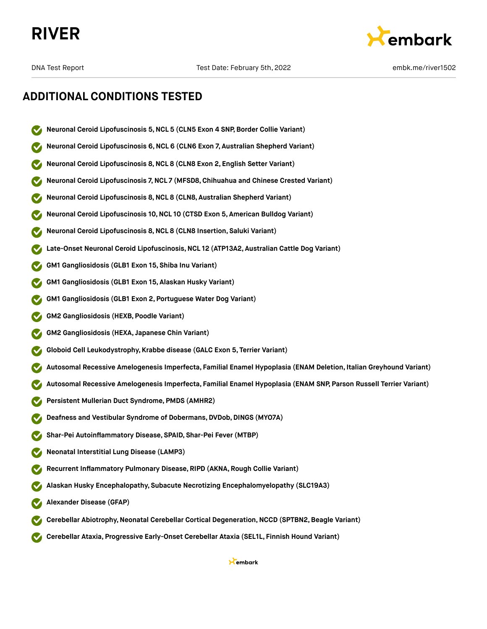



- **Neuronal Ceroid Lipofuscinosis 5,NCL 5 (CLN5 Exon 4 SNP, Border Collie Variant)**
- **Neuronal Ceroid Lipofuscinosis 6,NCL 6 (CLN6 Exon 7, Australian Shepherd Variant)**
- **Neuronal Ceroid Lipofuscinosis 8,NCL 8 (CLN8 Exon 2, English Setter Variant)**
- **Neuronal Ceroid Lipofuscinosis 7,NCL 7 (MFSD8,Chihuahua and Chinese Crested Variant)**
- **Neuronal Ceroid Lipofuscinosis 8,NCL 8 (CLN8, Australian Shepherd Variant)**
- **Neuronal Ceroid Lipofuscinosis 10,NCL 10 (CTSD Exon 5, American Bulldog Variant)**
- **Neuronal Ceroid Lipofuscinosis 8,NCL 8 (CLN8 Insertion, Saluki Variant)**
- **Late-Onset Neuronal Ceroid Lipofuscinosis,NCL 12 (ATP13A2, Australian Cattle Dog Variant)**
- **GM1 Gangliosidosis (GLB1 Exon 15, Shiba Inu Variant)**
- **GM1 Gangliosidosis (GLB1 Exon 15, Alaskan Husky Variant)**
- **GM1 Gangliosidosis (GLB1 Exon 2, Portuguese Water Dog Variant)**
- **GM2 Gangliosidosis (HEXB, Poodle Variant)**
- **GM2 Gangliosidosis (HEXA, Japanese Chin Variant)**
- **Globoid Cell Leukodystrophy, Krabbe disease (GALC Exon 5, Terrier Variant)**
- **Autosomal Recessive Amelogenesis Imperfecta, Familial Enamel Hypoplasia (ENAM Deletion, Italian Greyhound Variant)**
- **Autosomal Recessive Amelogenesis Imperfecta, Familial Enamel Hypoplasia (ENAM SNP, Parson Russell Terrier Variant)**
- **Persistent Mullerian Duct Syndrome, PMDS (AMHR2)**
- **Deafness and Vestibular Syndrome of Dobermans, DVDob, DINGS (MYO7A)**
- **Shar-Pei Autoinflammatory Disease, SPAID, Shar-Pei Fever (MTBP)**
- **Neonatal Interstitial Lung Disease (LAMP3)**
- **Recurrent Inflammatory Pulmonary Disease, RIPD (AKNA, Rough Collie Variant)**
- **Alaskan Husky Encephalopathy, Subacute Necrotizing Encephalomyelopathy (SLC19A3)**
- **Alexander Disease (GFAP)**
- **Cerebellar Abiotrophy,Neonatal Cerebellar Cortical Degeneration,NCCD (SPTBN2,Beagle Variant)**
- **Cerebellar Ataxia, Progressive Early-Onset Cerebellar Ataxia (SEL1L, Finnish Hound Variant)**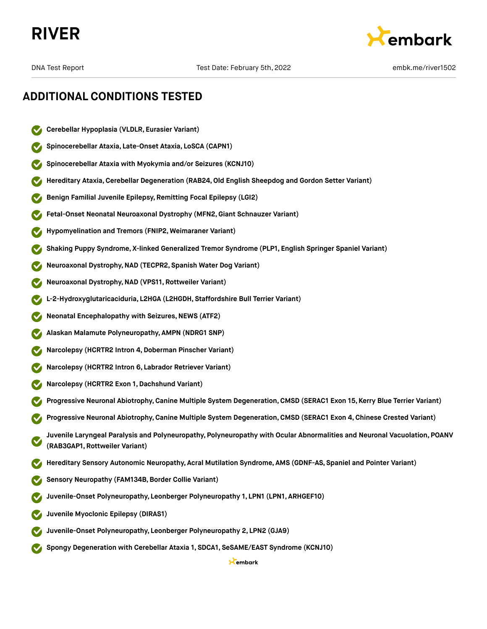



- **Cerebellar Hypoplasia (VLDLR, Eurasier Variant)**
- **Spinocerebellar Ataxia, Late-Onset Ataxia, LoSCA (CAPN1)**
- **Spinocerebellar Ataxia with Myokymia and/or Seizures (KCNJ10)**
- **Hereditary Ataxia,Cerebellar Degeneration (RAB24,Old English Sheepdog and Gordon Setter Variant)**
- **Benign Familial Juvenile Epilepsy, Remitting Focal Epilepsy (LGI2)**
- **Fetal-Onset Neonatal Neuroaxonal Dystrophy (MFN2,Giant Schnauzer Variant)**
- **Hypomyelination and Tremors (FNIP2, Weimaraner Variant)**
- **Shaking Puppy Syndrome, X-linked Generalized Tremor Syndrome (PLP1, English Springer Spaniel Variant)**
- **Neuroaxonal Dystrophy,NAD (TECPR2, Spanish Water Dog Variant)**
- **Neuroaxonal Dystrophy,NAD (VPS11, Rottweiler Variant)**
- **L-2-Hydroxyglutaricaciduria, L2HGA (L2HGDH, Staffordshire Bull Terrier Variant)**
- **Neonatal Encephalopathy with Seizures, NEWS (ATF2)**
- **Alaskan Malamute Polyneuropathy, AMPN (NDRG1 SNP)**
- **Narcolepsy (HCRTR2 Intron 4,Doberman Pinscher Variant)**
- **Narcolepsy (HCRTR2 Intron 6, Labrador Retriever Variant)**
- **Narcolepsy (HCRTR2 Exon 1,Dachshund Variant)**
- **Progressive Neuronal Abiotrophy,Canine Multiple System Degeneration,CMSD (SERAC1 Exon 15, Kerry Blue Terrier Variant)**
- **Progressive Neuronal Abiotrophy,Canine Multiple System Degeneration,CMSD (SERAC1 Exon 4, Chinese Crested Variant)**
- **Juvenile Laryngeal Paralysis and Polyneuropathy, Polyneuropathy with Ocular Abnormalities and Neuronal Vacuolation, POANV (RAB3GAP1, Rottweiler Variant)**
- **Hereditary Sensory Autonomic Neuropathy, Acral Mutilation Syndrome, AMS (GDNF-AS, Spaniel and Pointer Variant)**
- **Sensory Neuropathy (FAM134B,Border Collie Variant)**
- **Juvenile-Onset Polyneuropathy, Leonberger Polyneuropathy 1, LPN1 (LPN1, ARHGEF10)**
- **Juvenile Myoclonic Epilepsy (DIRAS1)**
- **Juvenile-Onset Polyneuropathy, Leonberger Polyneuropathy 2, LPN2 (GJA9)**
- **Spongy Degeneration with Cerebellar Ataxia 1, SDCA1, SeSAME/EAST Syndrome (KCNJ10)**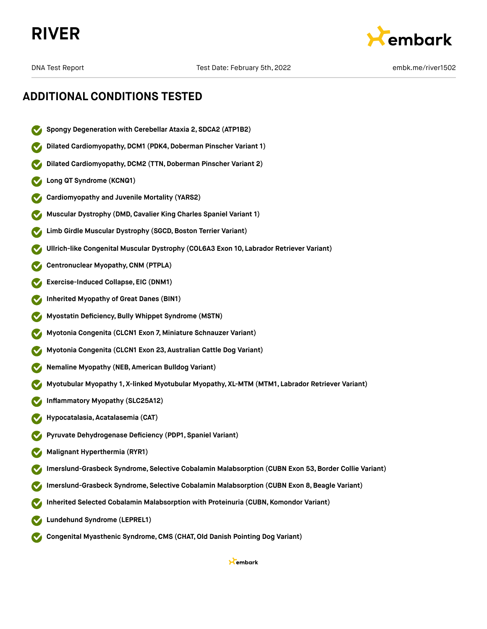



- **Spongy Degeneration with Cerebellar Ataxia 2, SDCA2 (ATP1B2)**
- **Dilated Cardiomyopathy,DCM1 (PDK4,Doberman Pinscher Variant 1)**
- **Dilated Cardiomyopathy, DCM2 (TTN, Doberman Pinscher Variant 2)**
- **Long QT Syndrome (KCNQ1)**
- **Cardiomyopathy and Juvenile Mortality (YARS2)**
- **Muscular Dystrophy (DMD,Cavalier King Charles Spaniel Variant 1)**
- **Limb Girdle Muscular Dystrophy (SGCD,Boston Terrier Variant)**
- **Ullrich-like Congenital Muscular Dystrophy (COL6A3 Exon 10, Labrador Retriever Variant)**
- **Centronuclear Myopathy,CNM (PTPLA)**
- **Exercise-Induced Collapse, EIC (DNM1)**
- **Inherited Myopathy of Great Danes (BIN1)**
- **Myostatin Deficiency,Bully Whippet Syndrome (MSTN)**
- **Myotonia Congenita (CLCN1 Exon 7, Miniature Schnauzer Variant)**
- **Myotonia Congenita (CLCN1 Exon 23, Australian Cattle Dog Variant)**
- **Nemaline Myopathy (NEB, American Bulldog Variant)**
- **Myotubular Myopathy 1, X-linked Myotubular Myopathy, XL-MTM (MTM1, Labrador Retriever Variant)**
- **Inflammatory Myopathy (SLC25A12)**
- **Hypocatalasia, Acatalasemia (CAT)**
- **Pyruvate Dehydrogenase Deficiency (PDP1, Spaniel Variant)**
- **Malignant Hyperthermia (RYR1)**
- **Imerslund-Grasbeck Syndrome, Selective Cobalamin Malabsorption (CUBN Exon 53,Border Collie Variant)**
- **Imerslund-Grasbeck Syndrome, Selective Cobalamin Malabsorption (CUBN Exon 8,Beagle Variant)**
- **Inherited Selected Cobalamin Malabsorption with Proteinuria (CUBN, Komondor Variant)**
- **Lundehund Syndrome (LEPREL1)**
- **Congenital Myasthenic Syndrome,CMS (CHAT,Old Danish Pointing Dog Variant)**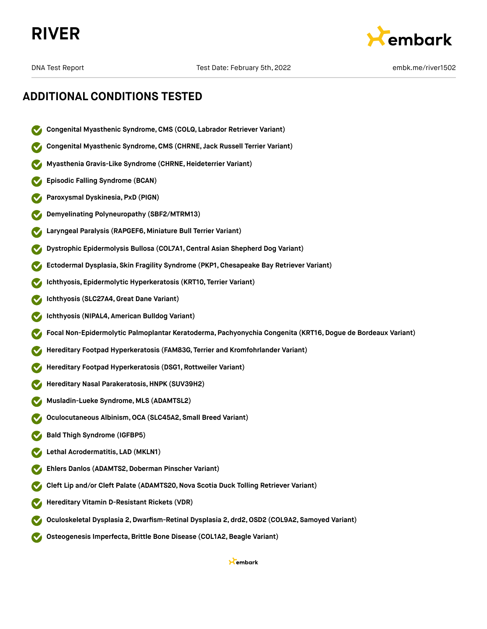



- **Congenital Myasthenic Syndrome,CMS (COLQ, Labrador Retriever Variant)**
- **Congenital Myasthenic Syndrome,CMS (CHRNE, Jack Russell Terrier Variant)**
- **Myasthenia Gravis-Like Syndrome (CHRNE,Heideterrier Variant)**
- **Episodic Falling Syndrome (BCAN)**
- **Paroxysmal Dyskinesia, PxD (PIGN)**
- **Demyelinating Polyneuropathy (SBF2/MTRM13)**
- **Laryngeal Paralysis (RAPGEF6, Miniature Bull Terrier Variant)**
- **Dystrophic Epidermolysis Bullosa (COL7A1,Central Asian Shepherd Dog Variant)**
- **Ectodermal Dysplasia, Skin Fragility Syndrome (PKP1, Chesapeake Bay Retriever Variant)**
- **Ichthyosis, Epidermolytic Hyperkeratosis (KRT10, Terrier Variant)**
- **Ichthyosis (SLC27A4,Great Dane Variant)**
- **Ichthyosis (NIPAL4, American Bulldog Variant)**
- **Focal Non-Epidermolytic Palmoplantar Keratoderma, Pachyonychia Congenita (KRT16,Dogue de Bordeaux Variant)**
- **Hereditary Footpad Hyperkeratosis (FAM83G, Terrier and Kromfohrlander Variant)**
- **Hereditary Footpad Hyperkeratosis (DSG1, Rottweiler Variant)**
- **Hereditary Nasal Parakeratosis,HNPK (SUV39H2)**
- **Musladin-Lueke Syndrome, MLS (ADAMTSL2)**
- **Oculocutaneous Albinism,OCA (SLC45A2, Small Breed Variant)**
- **Bald Thigh Syndrome (IGFBP5)**
- **Lethal Acrodermatitis, LAD (MKLN1)**
- **Ehlers Danlos (ADAMTS2,Doberman Pinscher Variant)**
- **Cleft Lip and/or Cleft Palate (ADAMTS20,Nova Scotia Duck Tolling Retriever Variant)**
- **Hereditary Vitamin D-Resistant Rickets (VDR)**
- **Oculoskeletal Dysplasia 2,Dwarfism-Retinal Dysplasia 2, drd2,OSD2 (COL9A2, Samoyed Variant)**
- **Osteogenesis Imperfecta,Brittle Bone Disease (COL1A2,Beagle Variant)**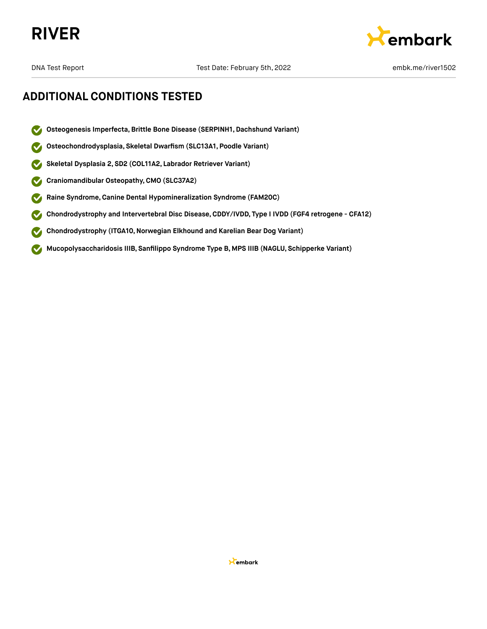



- **Osteogenesis Imperfecta,Brittle Bone Disease (SERPINH1, Dachshund Variant)**  $\boldsymbol{\sigma}$
- **Osteochondrodysplasia, Skeletal Dwarfism (SLC13A1, Poodle Variant)**  $\blacktriangledown$
- **Skeletal Dysplasia 2, SD2 (COL11A2, Labrador Retriever Variant)**  $\blacktriangledown$
- **Craniomandibular Osteopathy,CMO (SLC37A2)**  $\blacktriangledown$
- **Raine Syndrome,Canine Dental Hypomineralization Syndrome (FAM20C)**  $\blacktriangledown$
- **Chondrodystrophy and Intervertebral Disc Disease,CDDY/IVDD, Type I IVDD (FGF4 retrogene CFA12)**  $\blacktriangledown$
- **Chondrodystrophy (ITGA10,Norwegian Elkhound and Karelian Bear Dog Variant)**  $\blacktriangledown$
- **Mucopolysaccharidosis IIIB, Sanfilippo Syndrome Type B, MPS IIIB (NAGLU, Schipperke Variant)**  $\blacktriangledown$